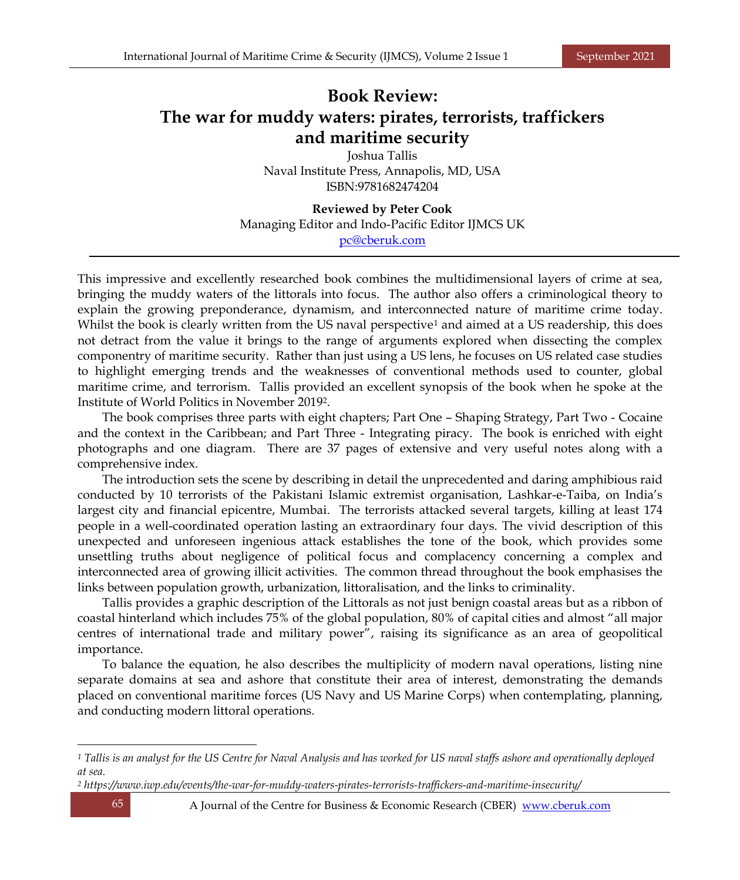## **Book Review: The war for muddy waters: pirates, terrorists, traffickers and maritime security**

Joshua Tallis Naval Institute Press, Annapolis, MD, USA ISBN:9781682474204

**Reviewed by Peter Cook** Managing Editor and Indo-Pacific Editor IJMCS UK [pc@cberuk.com](mailto:pc@cberuk.com)

This impressive and excellently researched book combines the multidimensional layers of crime at sea, bringing the muddy waters of the littorals into focus. The author also offers a criminological theory to explain the growing preponderance, dynamism, and interconnected nature of maritime crime today. Whilst the book is clearly written from the US naval perspective<sup>1</sup> and aimed at a US readership, this does not detract from the value it brings to the range of arguments explored when dissecting the complex componentry of maritime security. Rather than just using a US lens, he focuses on US related case studies to highlight emerging trends and the weaknesses of conventional methods used to counter, global maritime crime, and terrorism. Tallis provided an excellent synopsis of the book when he spoke at the Institute of World Politics in November 2019<sup>2</sup> .

The book comprises three parts with eight chapters; Part One – Shaping Strategy, Part Two - Cocaine and the context in the Caribbean; and Part Three - Integrating piracy. The book is enriched with eight photographs and one diagram. There are 37 pages of extensive and very useful notes along with a comprehensive index.

The introduction sets the scene by describing in detail the unprecedented and daring amphibious raid conducted by 10 terrorists of the Pakistani Islamic extremist organisation, Lashkar-e-Taiba, on India's largest city and financial epicentre, Mumbai. The terrorists attacked several targets, killing at least 174 people in a well-coordinated operation lasting an extraordinary four days. The vivid description of this unexpected and unforeseen ingenious attack establishes the tone of the book, which provides some unsettling truths about negligence of political focus and complacency concerning a complex and interconnected area of growing illicit activities. The common thread throughout the book emphasises the links between population growth, urbanization, littoralisation, and the links to criminality.

Tallis provides a graphic description of the Littorals as not just benign coastal areas but as a ribbon of coastal hinterland which includes 75% of the global population, 80% of capital cities and almost "all major centres of international trade and military power", raising its significance as an area of geopolitical importance.

To balance the equation, he also describes the multiplicity of modern naval operations, listing nine separate domains at sea and ashore that constitute their area of interest, demonstrating the demands placed on conventional maritime forces (US Navy and US Marine Corps) when contemplating, planning, and conducting modern littoral operations.

*<sup>1</sup> Tallis is an analyst for the US Centre for Naval Analysis and has worked for US naval staffs ashore and operationally deployed at sea.*

*<sup>2</sup> <https://www.iwp.edu/events/the-war-for-muddy-waters-pirates-terrorists-traffickers-and-maritime-insecurity/>*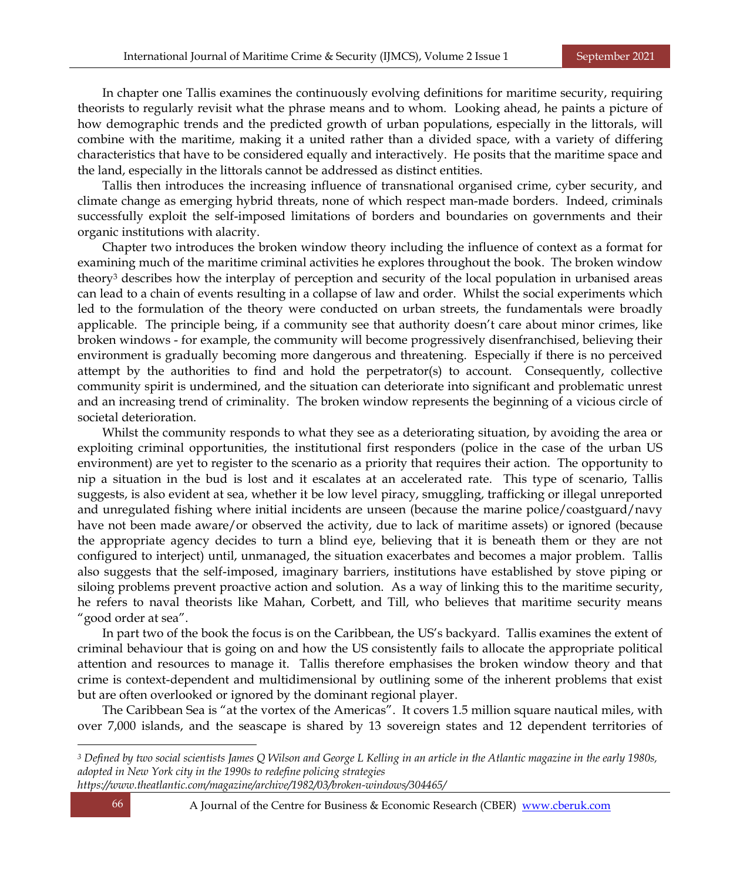In chapter one Tallis examines the continuously evolving definitions for maritime security, requiring theorists to regularly revisit what the phrase means and to whom. Looking ahead, he paints a picture of how demographic trends and the predicted growth of urban populations, especially in the littorals, will combine with the maritime, making it a united rather than a divided space, with a variety of differing characteristics that have to be considered equally and interactively. He posits that the maritime space and the land, especially in the littorals cannot be addressed as distinct entities.

Tallis then introduces the increasing influence of transnational organised crime, cyber security, and climate change as emerging hybrid threats, none of which respect man-made borders. Indeed, criminals successfully exploit the self-imposed limitations of borders and boundaries on governments and their organic institutions with alacrity.

Chapter two introduces the broken window theory including the influence of context as a format for examining much of the maritime criminal activities he explores throughout the book. The broken window theory<sup>3</sup> describes how the interplay of perception and security of the local population in urbanised areas can lead to a chain of events resulting in a collapse of law and order. Whilst the social experiments which led to the formulation of the theory were conducted on urban streets, the fundamentals were broadly applicable. The principle being, if a community see that authority doesn't care about minor crimes, like broken windows - for example, the community will become progressively disenfranchised, believing their environment is gradually becoming more dangerous and threatening. Especially if there is no perceived attempt by the authorities to find and hold the perpetrator(s) to account. Consequently, collective community spirit is undermined, and the situation can deteriorate into significant and problematic unrest and an increasing trend of criminality. The broken window represents the beginning of a vicious circle of societal deterioration.

Whilst the community responds to what they see as a deteriorating situation, by avoiding the area or exploiting criminal opportunities, the institutional first responders (police in the case of the urban US environment) are yet to register to the scenario as a priority that requires their action. The opportunity to nip a situation in the bud is lost and it escalates at an accelerated rate. This type of scenario, Tallis suggests, is also evident at sea, whether it be low level piracy, smuggling, trafficking or illegal unreported and unregulated fishing where initial incidents are unseen (because the marine police/coastguard/navy have not been made aware/or observed the activity, due to lack of maritime assets) or ignored (because the appropriate agency decides to turn a blind eye, believing that it is beneath them or they are not configured to interject) until, unmanaged, the situation exacerbates and becomes a major problem. Tallis also suggests that the self-imposed, imaginary barriers, institutions have established by stove piping or siloing problems prevent proactive action and solution. As a way of linking this to the maritime security, he refers to naval theorists like Mahan, Corbett, and Till, who believes that maritime security means "good order at sea".

In part two of the book the focus is on the Caribbean, the US's backyard. Tallis examines the extent of criminal behaviour that is going on and how the US consistently fails to allocate the appropriate political attention and resources to manage it. Tallis therefore emphasises the broken window theory and that crime is context-dependent and multidimensional by outlining some of the inherent problems that exist but are often overlooked or ignored by the dominant regional player.

The Caribbean Sea is "at the vortex of the Americas". It covers 1.5 million square nautical miles, with over 7,000 islands, and the seascape is shared by 13 sovereign states and 12 dependent territories of

*<sup>3</sup> Defined by two social scientists James Q Wilson and George L Kelling in an article in the Atlantic magazine in the early 1980s, adopted in New York city in the 1990s to redefine policing strategies* 

*<https://www.theatlantic.com/magazine/archive/1982/03/broken-windows/304465/>*

66 A Journal of the Centre for Business & Economic Research (CBER) [www.cberuk.com](http://www.cberuk.com/)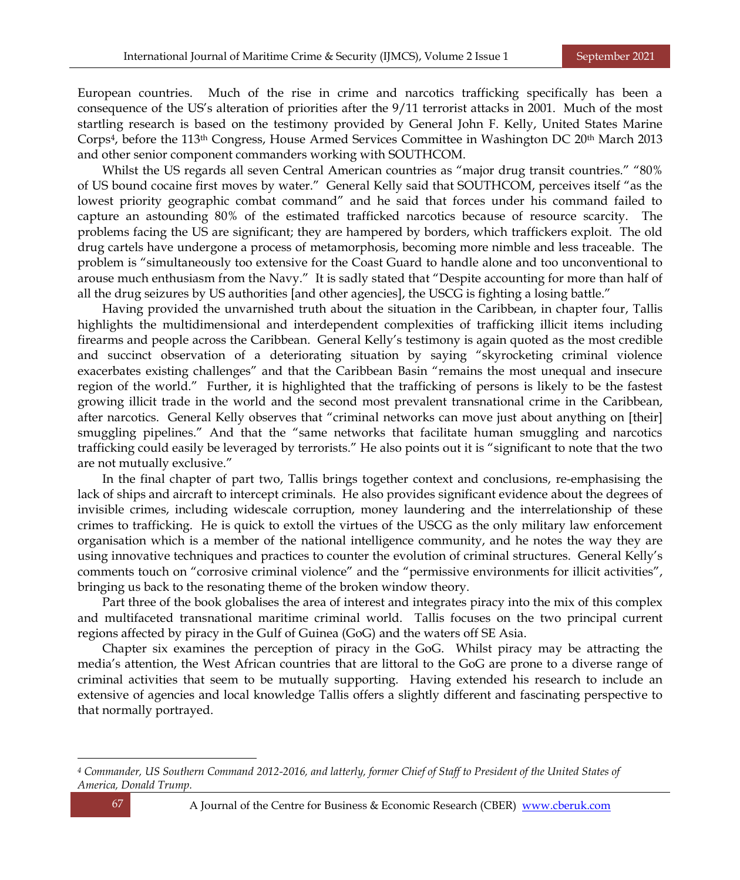European countries. Much of the rise in crime and narcotics trafficking specifically has been a consequence of the US's alteration of priorities after the 9/11 terrorist attacks in 2001. Much of the most startling research is based on the testimony provided by General John F. Kelly, United States Marine Corps<sup>4</sup> , before the 113th Congress, House Armed Services Committee in Washington DC 20th March 2013 and other senior component commanders working with SOUTHCOM.

Whilst the US regards all seven Central American countries as "major drug transit countries." "80% of US bound cocaine first moves by water." General Kelly said that SOUTHCOM, perceives itself "as the lowest priority geographic combat command" and he said that forces under his command failed to capture an astounding 80% of the estimated trafficked narcotics because of resource scarcity. The problems facing the US are significant; they are hampered by borders, which traffickers exploit. The old drug cartels have undergone a process of metamorphosis, becoming more nimble and less traceable. The problem is "simultaneously too extensive for the Coast Guard to handle alone and too unconventional to arouse much enthusiasm from the Navy." It is sadly stated that "Despite accounting for more than half of all the drug seizures by US authorities [and other agencies], the USCG is fighting a losing battle."

Having provided the unvarnished truth about the situation in the Caribbean, in chapter four, Tallis highlights the multidimensional and interdependent complexities of trafficking illicit items including firearms and people across the Caribbean. General Kelly's testimony is again quoted as the most credible and succinct observation of a deteriorating situation by saying "skyrocketing criminal violence exacerbates existing challenges" and that the Caribbean Basin "remains the most unequal and insecure region of the world." Further, it is highlighted that the trafficking of persons is likely to be the fastest growing illicit trade in the world and the second most prevalent transnational crime in the Caribbean, after narcotics. General Kelly observes that "criminal networks can move just about anything on [their] smuggling pipelines." And that the "same networks that facilitate human smuggling and narcotics trafficking could easily be leveraged by terrorists." He also points out it is "significant to note that the two are not mutually exclusive."

In the final chapter of part two, Tallis brings together context and conclusions, re-emphasising the lack of ships and aircraft to intercept criminals. He also provides significant evidence about the degrees of invisible crimes, including widescale corruption, money laundering and the interrelationship of these crimes to trafficking. He is quick to extoll the virtues of the USCG as the only military law enforcement organisation which is a member of the national intelligence community, and he notes the way they are using innovative techniques and practices to counter the evolution of criminal structures. General Kelly's comments touch on "corrosive criminal violence" and the "permissive environments for illicit activities", bringing us back to the resonating theme of the broken window theory.

Part three of the book globalises the area of interest and integrates piracy into the mix of this complex and multifaceted transnational maritime criminal world. Tallis focuses on the two principal current regions affected by piracy in the Gulf of Guinea (GoG) and the waters off SE Asia.

Chapter six examines the perception of piracy in the GoG. Whilst piracy may be attracting the media's attention, the West African countries that are littoral to the GoG are prone to a diverse range of criminal activities that seem to be mutually supporting. Having extended his research to include an extensive of agencies and local knowledge Tallis offers a slightly different and fascinating perspective to that normally portrayed.

*<sup>4</sup> Commander, US Southern Command 2012-2016, and latterly, former Chief of Staff to President of the United States of America, Donald Trump.*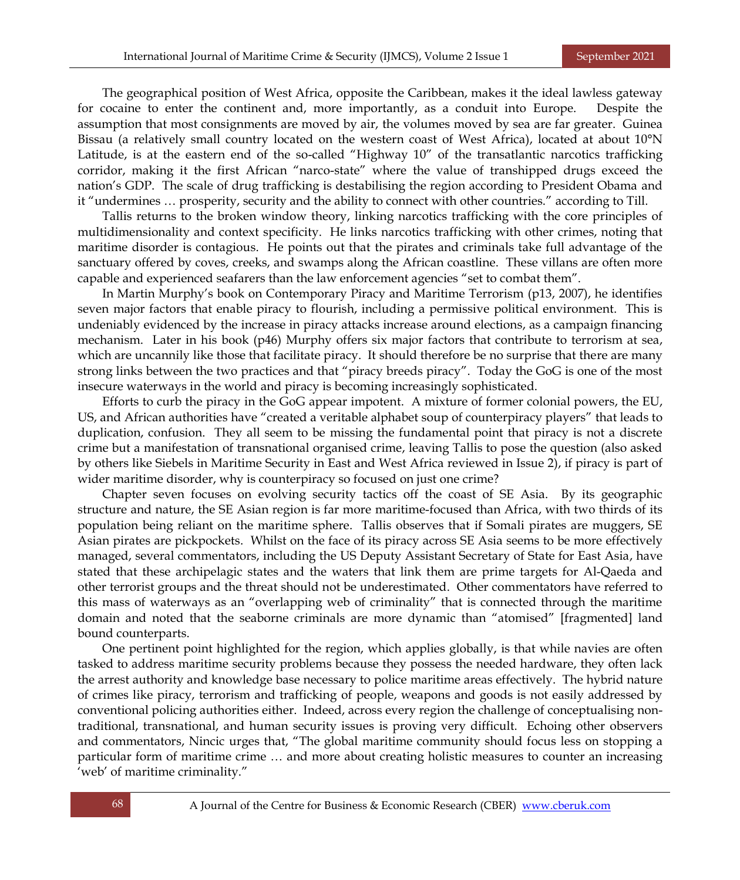The geographical position of West Africa, opposite the Caribbean, makes it the ideal lawless gateway for cocaine to enter the continent and, more importantly, as a conduit into Europe. Despite the assumption that most consignments are moved by air, the volumes moved by sea are far greater. Guinea Bissau (a relatively small country located on the western coast of West Africa), located at about 10°N Latitude, is at the eastern end of the so-called "Highway 10" of the transatlantic narcotics trafficking corridor, making it the first African "narco-state" where the value of transhipped drugs exceed the nation's GDP. The scale of drug trafficking is destabilising the region according to President Obama and it "undermines … prosperity, security and the ability to connect with other countries." according to Till.

Tallis returns to the broken window theory, linking narcotics trafficking with the core principles of multidimensionality and context specificity. He links narcotics trafficking with other crimes, noting that maritime disorder is contagious. He points out that the pirates and criminals take full advantage of the sanctuary offered by coves, creeks, and swamps along the African coastline. These villans are often more capable and experienced seafarers than the law enforcement agencies "set to combat them".

In Martin Murphy's book on Contemporary Piracy and Maritime Terrorism (p13, 2007), he identifies seven major factors that enable piracy to flourish, including a permissive political environment. This is undeniably evidenced by the increase in piracy attacks increase around elections, as a campaign financing mechanism. Later in his book (p46) Murphy offers six major factors that contribute to terrorism at sea, which are uncannily like those that facilitate piracy. It should therefore be no surprise that there are many strong links between the two practices and that "piracy breeds piracy". Today the GoG is one of the most insecure waterways in the world and piracy is becoming increasingly sophisticated.

Efforts to curb the piracy in the GoG appear impotent. A mixture of former colonial powers, the EU, US, and African authorities have "created a veritable alphabet soup of counterpiracy players" that leads to duplication, confusion. They all seem to be missing the fundamental point that piracy is not a discrete crime but a manifestation of transnational organised crime, leaving Tallis to pose the question (also asked by others like Siebels in Maritime Security in East and West Africa reviewed in Issue 2), if piracy is part of wider maritime disorder, why is counterpiracy so focused on just one crime?

Chapter seven focuses on evolving security tactics off the coast of SE Asia. By its geographic structure and nature, the SE Asian region is far more maritime-focused than Africa, with two thirds of its population being reliant on the maritime sphere. Tallis observes that if Somali pirates are muggers, SE Asian pirates are pickpockets. Whilst on the face of its piracy across SE Asia seems to be more effectively managed, several commentators, including the US Deputy Assistant Secretary of State for East Asia, have stated that these archipelagic states and the waters that link them are prime targets for Al-Qaeda and other terrorist groups and the threat should not be underestimated. Other commentators have referred to this mass of waterways as an "overlapping web of criminality" that is connected through the maritime domain and noted that the seaborne criminals are more dynamic than "atomised" [fragmented] land bound counterparts.

One pertinent point highlighted for the region, which applies globally, is that while navies are often tasked to address maritime security problems because they possess the needed hardware, they often lack the arrest authority and knowledge base necessary to police maritime areas effectively. The hybrid nature of crimes like piracy, terrorism and trafficking of people, weapons and goods is not easily addressed by conventional policing authorities either. Indeed, across every region the challenge of conceptualising nontraditional, transnational, and human security issues is proving very difficult. Echoing other observers and commentators, Nincic urges that, "The global maritime community should focus less on stopping a particular form of maritime crime … and more about creating holistic measures to counter an increasing 'web' of maritime criminality."